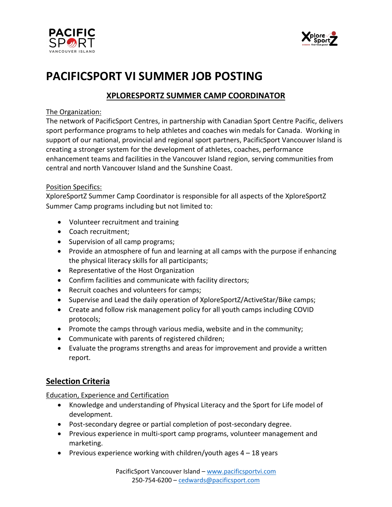



# **PACIFICSPORT VI SUMMER JOB POSTING**

# **XPLORESPORTZ SUMMER CAMP COORDINATOR**

## The Organization:

The network of PacificSport Centres, in partnership with Canadian Sport Centre Pacific, delivers sport performance programs to help athletes and coaches win medals for Canada. Working in support of our national, provincial and regional sport partners, PacificSport Vancouver Island is creating a stronger system for the development of athletes, coaches, performance enhancement teams and facilities in the Vancouver Island region, serving communities from central and north Vancouver Island and the Sunshine Coast.

### Position Specifics:

XploreSportZ Summer Camp Coordinator is responsible for all aspects of the XploreSportZ Summer Camp programs including but not limited to:

- Volunteer recruitment and training
- Coach recruitment;
- Supervision of all camp programs;
- Provide an atmosphere of fun and learning at all camps with the purpose if enhancing the physical literacy skills for all participants;
- Representative of the Host Organization
- Confirm facilities and communicate with facility directors;
- Recruit coaches and volunteers for camps;
- Supervise and Lead the daily operation of XploreSportZ/ActiveStar/Bike camps;
- Create and follow risk management policy for all youth camps including COVID protocols;
- Promote the camps through various media, website and in the community;
- Communicate with parents of registered children;
- Evaluate the programs strengths and areas for improvement and provide a written report.

# **Selection Criteria**

## Education, Experience and Certification

- Knowledge and understanding of Physical Literacy and the Sport for Life model of development.
- Post-secondary degree or partial completion of post-secondary degree.
- Previous experience in multi-sport camp programs, volunteer management and marketing.
- Previous experience working with children/youth ages  $4 18$  years